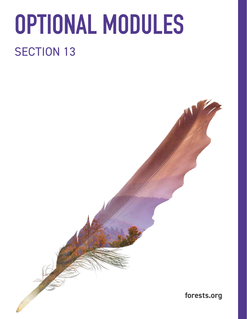# **OPTIONAL MODULES** SECTION 13

**forests.org**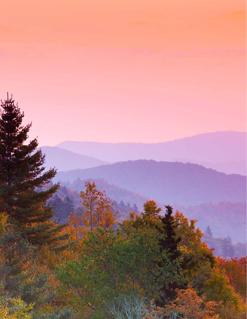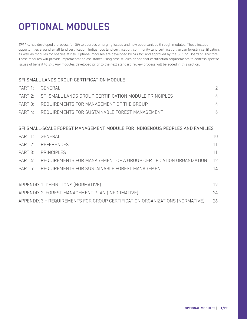# OPTIONAL MODULES

*SFI Inc.* has developed a process for *SFI* to address emerging issues and new opportunities through modules. These include opportunities around small land certification, Indigenous land certification, community land certification, urban forestry certification, as well as modules for species at risk. Optional modules are developed by *SFI Inc.* and approved by the *SFI Inc.* Board of Directors. These modules will provide implementation assistance using case studies or optional certification requirements to address specific issues of benefit to *SFI*. Any modules developed prior to the next standard review process will be added in this section.

# SFI SMALL LANDS GROUP CERTIFICATION MODULE

| PART 1: GENERAL                                               |  |
|---------------------------------------------------------------|--|
| PART 2: SFI SMALL LANDS GROUP CERTIFICATION MODULE PRINCIPLES |  |
| PART 3: REQUIREMENTS FOR MANAGEMENT OF THE GROUP              |  |
| PART 4: REQUIREMENTS FOR SUSTAINABLE FOREST MANAGEMENT        |  |

# SFI SMALL-SCALE FOREST MANAGEMENT MODULE FOR INDIGENOUS PEOPLES AND FAMILIES

|                                     | PART 1: GENERAL                                                   | 10 |
|-------------------------------------|-------------------------------------------------------------------|----|
|                                     | PART 2: REFERENCES                                                | 11 |
| PART 3:                             | PRINCIPLES                                                        | 11 |
| PART 4:                             | REQUIREMENTS FOR MANAGEMENT OF A GROUP CERTIFICATION ORGANIZATION | 12 |
|                                     | PART 5: REQUIREMENTS FOR SUSTAINABLE FOREST MANAGEMENT            | 14 |
|                                     |                                                                   |    |
| APPENDIX 1. DEFINITIONS (NORMATIVE) |                                                                   |    |
|                                     | APPENDIX 2. FOREST MANAGEMENT PLAN (INFORMATIVE)                  | 24 |
|                                     |                                                                   |    |

APPENDIX 3 – REQUIREMENTS FOR GROUP CERTIFICATION ORGANIZATIONS (NORMATIVE) 26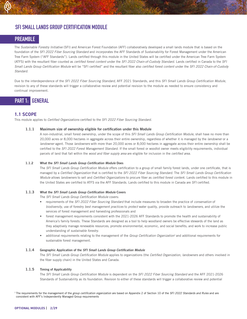# **SFI SMALL LANDS GROUP CERTIFICATION MODULE**

# **PREAMBLE**

The *Sustainable Forestry Initiative* (SFI) and American Forest Foundation (AFF) collaboratively developed a small lands module that is based on the foundation of the *SFI 2022 Fiber Sourcing Standard* and incorporates the AFF Standards of Sustainability for Forest Management under the American Tree Farm System ("AFF Standards"). Lands certified through this module in the United States will be certified under the American Tree Farm System (ATFS) with the resultant fiber counted as certified forest content under the *SFI 2022 Chain-of-Custody Standard.* Lands certified in Canada to the *SFI*  Small Lands Group Certification Module will be "SFI certified" and the resultant fiber also certified forest content under the *SFI 2022 Chain-of-Custody Standard.*

Due to the interdependence of the *SFI 2022 Fiber Sourcing Standard*, AFF 2021 Standards, and this SFI Small Lands Group Certification Module, revision to any of these standards will trigger a collaborative review and potential revision to the module as needed to ensure consistency and continual improvement.

# **PART 1: GENERAL**

## **1.1 SCOPE**

This module applies to Certified Organizations certified to the *SFI 2022 Fiber Sourcing Standard.*

#### **1.1.1** Maximum size of ownership eligible for certification under this Module

A non-industrial, small forest ownership, under the scope of this SFI Small Lands Group Certification Module, shall have no more than 20,000 acres or 8,000 hectares in aggregate across their entire ownership, regardless of whether it is managed by the *landowner* or a *landowner* agent. Those *landowners* with more than 20,000 acres or 8,000 hectares in aggregate across their entire ownership shall be certified to the *SFI 2022 Forest Management Standard*. If the small forest or woodlot owner meets eligibility requirements, individual parcels of land that fall within the wood and fiber supply area are eligible for inclusion in the certified area.

#### 1.1.2 What the SFI Small Lands Group Certification Module Does

The SFI Small Lands Group Certification Module offers certification to a group of small family forest lands, under one certificate, that is managed by a Certified Organization that is certified to the *SFI 2022 Fiber Sourcing Standard*. The SFI Small Lands Group Certification *Module* allows *landowners* to sell and Certified Organizations to procure fiber as certified forest content. Lands certified to this module in the United States are certified to ATFS via the AFF Standards. Lands certified to this module in Canada are *SFI* certified.

#### **1.1.3** What the SFI Small Lands Group Certification Module Covers

The SFI Small Lands Group Certification Module covers:

- requirements of the *SFI 2022 Fiber Sourcing Standard* that include measures to broaden the practice of *conservation* of *biodiversity*, use of forestry *best management practices* to *protect* water quality, provide outreach to *landowners*, and utilize the services of forest management and harvesting professionals and
- forest management requirements consistent with the 2021-2026 AFF Standards to promote the health and sustainability of America's family forests. These Standards are designed as a tool to help woodland owners be effective stewards of the land as they adaptively manage renewable resources; promote environmental, economic, and social benefits; and work to increase public understanding of *sustainable forestry*.
- additional requirements relating to the management of the Group Certification Organization<sup>1</sup> and additional requirements for sustainable forest management.

#### **1.1.4** Geographic Application of the SFI Small Lands Group Certification Module

The SFI Small Lands Group Certification Module applies to organizations (the Certified Organization, landowners and others involved in the fiber supply chain) in the United States and Canada.

## **1.1.5** Timing of Applicability

 The SFI Small Lands Group Certification Module is dependent on the *SFI 2022 Fiber Sourcing Standard* and the AFF 2021-2026 Standards of Sustainability as its foundation. Revision to either of these standards will trigger a collaborative review and potential

<sup>1</sup> The requirements for the management of the *group certification organization* are based on Appendix 2 of Section 10 of the *SFI 2022 Standards and Rules* and are consistent with AFF's Independently Managed Group requirements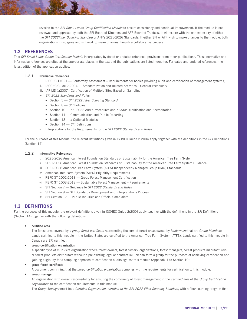revision to the SFI Small Lands Group Certification Module to ensure consistency and continual improvement. If the module is not reviewed and approved by both the SFI Board of Directors and AFF Board of Trustees, it will expire with the earliest expiry of either the *SFI 2022Fiber Sourcing Standard* or AFF's 2021-2026 Standards. If either SFI or AFF wish to make changes to the module, both organizations must agree and will work to make changes through a collaborative process.

## **1.2 REFERENCES**

This SFI Small Lands Group Certification Module incorporates, by dated or undated reference, provisions from other publications. These normative and informative references are cited at the appropriate places in the text and the publications are listed hereafter. For dated and undated references, the latest edition of the application applies.

#### **1.2.1** Normative references

- i. ISO/IEC 17021 Conformity Assessment Requirements for bodies providing audit and certification of management systems,
- ii. ISO/IEC Guide 2:2004 Standardization and Related Activities General Vocabulary
- iii. IAF MD 1:2007 Certification of Multiple Sites Based on Sampling
- iv. *SFI 2022 Standards and Rules*:
	- Section 3 *SFI 2022 Fiber Sourcing Standard*
	- Section 8 *SFI* Policies
	- Section 10 *SFI* 2022 Audit Procedures and *Auditor* Qualification and Accreditation
	- Section  $11$  Communication and Public Reporting
	- Section 13 a Optional Modules
	- Section 14 *SFI* Definitions
- v. Interpretations for the Requirements for the *SFI 2022 Standards and Rules*

For the purposes of this Module, the relevant definitions given in ISO/IEC Guide 2:2004 apply together with the definitions in the *SFI* Definitions (Section 14).

#### **1.2.2** Informative References

- i. 2021-2026 American Forest Foundation Standards of Sustainability for the American Tree Farm System
- ii. 2021-2026 American Forest Foundation Standards of Sustainability for the American Tree Farm System Guidance
- iii. 2021-2026 American Tree Farm System (ATFS) Independently Managed Group (IMG) Standards
- iv. American Tree Farm System (ATFS) Eligibility Requirements
- v. PEFC ST 1002:2018 Group Forest Management Certification
- vi. PEFC ST 1003:2018 Sustainable Forest Management Requirements
- vii. SFI Section 7 Guidance to *SFI 2022 Standards and Rules*
- viii. SFI Section 9 SFI Standards Development and Interpretations Process
- ix. SFI Section 12 Public Inquiries and Official Complaints

## **1.3 DEFINITIONS**

For the purposes of this module, the relevant definitions given in ISO/IEC Guide 2:2004 apply together with the definitions in the *SFI* Definitions (Section 14) together with the following definitions.

#### • certified area

 The forest area covered by a group forest certificate representing the sum of forest areas owned by *landowners* that are *Group Members.*  Lands certified to this module in the United States are certified to the American Tree Farm System (ATFS). Lands certified to this module in Canada are *SFI* certified.

• group certification organization

A specific type of multi-site organization where forest owners, forest owners' organizations, forest managers, forest products manufacturers or forest products distributors without a pre-existing legal or contractual link can form a group for the purposes of achieving certification and gaining eligibility for a sampling approach to certification audits against this module (Appendix 1 to Section 10).

• group forest certificate

A document confirming that the group certification organization complies with the requirements for certification to this module.

• group manager

An organization with overall responsibility for ensuring the conformity of forest management in the *certified area* of the *Group Certification* Organization to the certification requirements in this module.

The *Group Manager* must be a Certified Organization, certified to the SFI 2022 Fiber Sourcing Standard, with a fiber sourcing program that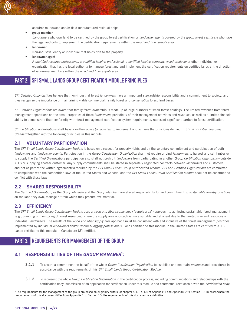acquires roundwood and/or field-manufactured residual chips.

#### • group member

 Landowners who own land to be certified by the group forest certification or *landowner agents* covered by the group forest certificate who have the legal authority to implement the certification requirements within the wood and fiber supply area.

#### **landowner**

Non-industrial entity or individual that holds title to the property.

landowner agent

A qualified resource professional, a qualified logging professional, a certified logging company, wood producer or other individual or organization that has the legal authority to manage forestland and implement the certification requirements on certified lands at the direction of *landowner* members within the wood and fiber supply area.

# **PART 2: SFI SMALL LANDS GROUP CERTIFICATION MODULE PRINCIPLES**

SFI Certified Organizations believe that non-industrial forest *landowners* have an important stewardship responsibility and a commitment to society, and they recognize the importance of maintaining viable commercial, family forest and *conservation* forest land bases.

SFI Certified Organizations are aware that family forest ownership is made up of large numbers of small forest holdings. The limited revenues from forest management operations on the small properties of these *landowners*; periodicity of their management activities and revenues; as well as a limited financial ability to demonstrate their conformity with forest management certification system requirements, represent significant barriers to forest certification.

SFI certification organizations shall have a written *policy* (or *policies*) to implement and achieve the *principles* defined in *SFI 2022 Fiber Sourcing Standard* together with the following principles in this module:

## **2.1 VOLUNTARY PARTICIPATION**

The SFI Small Lands Group Certification Module is based on a respect for property rights and on the voluntary commitment and participation of both *landowners* and *landowner agents*. Participation in the Group Certification Organization shall not require or bind *landowners* to harvest and sell timber or to supply the Certified Organization; participation also shall not prohibit *landowners* from participating in another Group Certification Organization outside ATFS or supplying another customer. Any supply commitments shall be stated in separately negotiated contracts between *landowners* and customers, and not as part of the written agreement(s) required by the *SFI Small Lands Group Certification Module. SFI* and Certified Organizations are committed to compliance with the competition laws of the United States and Canada, and the SFI Small Lands Group Certification Module shall not be construed to conflict with those laws.

## **2.2 SHARED RESPONSIBILITY**

The Certified Organization, as the *Group Manager* and the *Group Member* have shared responsibility for and commitment to *sustainable forestry practices*  on the land they own, manage or from which they procure raw material.

## **2.3 EFFICIENCY**

The SFI Small Lands Group Certification Module uses a wood and fiber supply area ("supply area") approach to achieving sustainable forest management (e.g., planning or monitoring of forest resources) where the supply area approach is more suitable and efficient due to the limited size and resources of individual *landowners*. The results of the wood and fiber supply area approach must be consistent with and inclusive of the forest management *practices* implemented by individual *landowners* and/or resource/*logging professionals*. Lands certified to this module in the United States are certified to ATFS. Lands certified to this module in Canada are SFI certified.

# **PART 3: REQUIREMENTS FOR MANAGEMENT OF THE GROUP**

## **3.1 RESPONSIBILITIES OF THE** *GROUP MANAGER***<sup>2</sup> :**

- **3.1.1** To ensure a commitment on behalf of the whole Group Certification Organization to establish and maintain *practices* and procedures in accordance with the requirements of this SFI Small Lands Group Certification Module.
- **3.1.2** To represent the whole Group Certification Organization in the certification process, including communications and relationships with the certification body, submission of an application for certification under this module and contractual relationship with the certification body.

<sup>2</sup>The requirements for the management of the group are based on eligibility criteria of chapter 4.1.1-4.1.4 of Appendix 1 and Appendix 2 to Section 10. In cases where the requirements of this document differ from Appendix 1 to Section 10, the requirements of this document are definitive.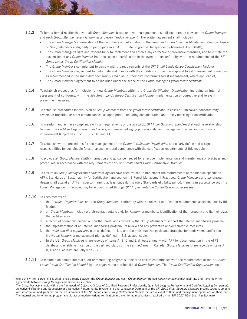- **3.1.3** To form a formal relationship with all *Group Members* based on a written agreement established directly between the *Group Manager* and each *Group Member* (every *landowner* and every *landowner agent*). The written agreement shall include3:
	- The Group Manager's enumeration of the conditions of participation in the group and group forest certificate, including disclosure of *Group Members i*neligibility to participate in an ATFS State program or Independently Managed Group (IMG);
	- The Group Manager's right and responsibility to implement and enforce any corrective or preventive measures, and to initiate the suspension of any *Group Member* from the scope of certification in the event of nonconformity with the requirements of the *SFI*  Small Lands Group Certification Module.
	- The Group Member's commitment to comply with the requirements of the SFI Small Lands Group Certification Module;
	- The Group Member's agreement to participate and comply with the conditions of membership and forest management operations as recommended in the *wood and fiber supply area* plan (or their own conforming forest management, where applicable);
	- The Group Member's agreement to be included under the scope of the Group Manager's group forest certificate.
- **3.1.4** To establish procedures for inclusion of new *Group Members* within the Group Certification Organization including an internal assessment of conformity with the SFI Small Lands Group Certification Module, implementation of corrective and relevant preventive measures.
- **3.1.5** To establish procedures for expulsion of *Group Members* from the group forest certificate, in cases of unresolved nonconformity, ownership transition or other circumstances, as appropriate, including documentation and timely reporting of decertification.
- **3.1.6** To maintain and achieve compliance with all requirements of the *SFI 2022 SFI Fiber Sourcing Standard* that outline relationship between the Certified Organization, landowners, and resource/logging professionals; and management review and continuous improvement (Objectives 1, 2, 3, 6, 7, 10 and 11).
- **3.1.7** To establish written procedures for the management of the Group Certification Organization and clearly define and assign responsibilities for sustainable forest management and compliance with the certification requirements of this module.
- **3.1.8** To provide all *Group Members* with information and guidance needed for effective implementation and maintenance of *practices* and procedures in accordance with the requirements of this SFI Small Lands Group Certification Module<sup>4</sup>.
- **3.1.9** To ensure all *Group Managers* and Landowner Agents have been trained to implement the requirements of the module specific to AFF's Standards of Sustainability for Certification and section 4.3 Forest Management Practices. *Group Managers* and Landowner *Agents* shall attend an ATFS inspector training at least once during every Standards eligibility period. Training in accordance with 4.3 Forest Management Practices may be accomplished through *SFI Implementation Committees* or other means.

#### **3.1.10** To keep records on:

- a. the Certified Organizations' and the Group Members' conformity with the relevant certification requirements as spelled out by this Module.
- b. all *Group Members*, including their contact details and, for *landowner* members, identification of their property and its/their sizes. c. the certified area.
- d. a record of operations carried out on the forest lands owned by the *Group Members* to support the internal monitoring program.
- e. the implementation of an internal monitoring program, its review and any preventive and/or corrective measures.
- f. the wood and fiber supply area plan as defined in 4.1, and the individualized goals and strategies for landowners, and/or the individual *landowner* management plan as defined in 4.2, as applicable.
- g. In the US, *Group Managers* share records of items A, B, C and E at least annually with AFF for documentation in the ATFS database to enable verification of the certified status of the *certified area*. In Canada, *Group Managers* share records of items A, B, C and E at least annually with *SFI.*
- **3.1.11** To maintain an annual internal audit or monitoring program sufficient to ensure conformance with the requirements of the *SFI Small*  Lands Group Certification Module<sup>5</sup> by the organization and individual Group Members. The Group Certification Organization must

<sup>3</sup> While the written agreement is established directly between the *Group Manager* and each *Group Member*, trained *landowner agents* may facilitate and transmit written agreements between *Group Manager* and *landowner* members.

<sup>&</sup>lt;sup>4</sup> The *Group Manager* should within the framework of Objective 3 (Use of Qualified Resource Professionals, Qualified Logging Professional and Certified Logging Companies), Objective 6 (Training and Education) and Objective 7 (Community Involvement and Landowner Outreach) of the *SFI 2022 Fiber Sourcing Standard* provide Group Members with information and guidance on the requirements of the SFI Small Lands Group Certification Module that are relevant to them and management operations on their land. <sup>5</sup>The internal audit/monitoring program should accommodate various verification and monitoring mechanisms required by the *SFI 2022 Fiber Sourcing Standard.*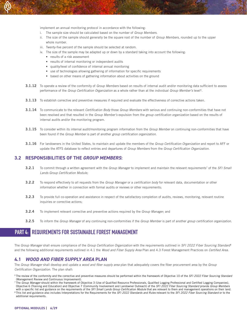implement an annual monitoring protocol in accordance with the following:

- i. The sample size should be calculated based on the number of *Group Members*.
- ii. The size of the sample should generally be the square root of the number of *Group Members*, rounded up to the upper whole number.
- iii. Twenty-five percent of the sample should be selected at random.
- iv. The size of the sample may be adapted up or down by a standard taking into account the following:
	- results of a risk assessment
	- results of internal monitoring or independent audits
	- quality/level of confidence of internal annual monitoring
	- use of technologies allowing gathering of information for specific requirements
	- based on other means of gathering information about activities on the ground
- **3.1.12** To operate a review of the conformity of *Group Members* based on results of internal audit and/or monitoring data sufficient to assess performance of the Group Certification Organization as a whole rather than at the individual Group Member's level<sup>6</sup>.
- **3.1.13** To establish corrective and preventive measures if required and evaluate the effectiveness of corrective actions taken.
- **3.1.14** To communicate to the relevant Certification Body those *Group Members* with serious and continuing non-conformities that have not been resolved and that resulted in the Group Member's expulsion from the group certification organization based on the results of internal audits and/or the monitoring program.
- **3.1.15** To consider within its internal audit/monitoring program information from the *Group Member* on continuing non-conformities that have been found if the *Group Member* is part of another group certification organization.
- **3.1.16** For landowners in the United States, to maintain and update the members of the Group Certification Organization and report to AFF or update the ATFS database to reflect entries and departures of *Group Members* from the Group Certification Organization.

## **3.2 RESPONSIBILITIES OF THE** *GROUP MEMBERS***:**

- **3.2.1** To commit through a written agreement with the *Group Manager* to implement and maintain the relevant requirements<sup>7</sup> of the *SFI Small* Lands Group Certification Module;
- **3.2.2** To respond effectively to all requests from the *Group Manager* or a certification body for relevant data, documentation or other information whether in connection with formal audits or reviews or other requirements;
- **3.2.3** To provide full co-operation and assistance in respect of the satisfactory completion of audits, reviews, monitoring, relevant routine inquiries or corrective actions;
- **3.2.4** To implement relevant corrective and preventive actions required by the *Group Manager*; and
- **3.2.5** To inform the *Group Manager* of any continuing non-conformities if the *Group Member* is part of another group certification organization.

# **PART 4: REQUIREMENTS FOR SUSTAINABLE FOREST MANAGEMENT**

The *Group Manager* shall ensure compliance of the Group Certification Organization with the requirements outlined in *SFI 2022 Fiber Sourcing Standard*<sup>8</sup> and the following additional requirements outlined in 4.1 the *Wood and Fiber Supply Area* Plan and 4.3 Forest Management Practices on Certified Area.

## **4.1** *WOOD AND FIBER SUPPLY AREA* **PLAN**

The *Group Manager* shall develop and update a wood and fiber supply area plan that adequately covers the fiber procurement area by the *Group*  Certification Organization. The plan shall:

<sup>7</sup> The Group Manager should within the framework of Objective 3 (Use of Qualified Resource Professionals, Qualified Logging Professional and Certified Logging Companies), Objective 6 (Training and Education) and Objective 7 (Community Involvement and Landowner Outreach) of the *SFI 2022 Fiber Sourcing Standard* provide *Group Members*  with a specific list and guidance on the requirements of the SFI Small Lands Group Certification Module that are relevant to them and management operations on their land.

8 This list and guidance also includes Interpretations for the Requirements for the *SFI 2022 Standards and Rules* relevant to the *SFI 2022 Fiber Sourcing Standard* or to the additional requirements.

<sup>6</sup> The review of the conformity and the corrective and preventive measures should be performed within the framework of Objective 10 of the *SFI 2022 Fiber Sourcing Standard*  (Management Review and Continuous Improvement).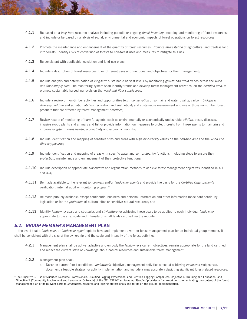- **4.1.1** Be based on a *long-term* resource analysis including periodic or ongoing *forest inventory*, mapping and monitoring of forest resources; and include or be based on analysis of social, environmental and economic impacts of forest operations on forest resources;
- **4.1.2** Promote the maintenance and enhancement of the quantity of forest resources. Promote *afforestation* of agricultural and treeless land into forests. Identify risks of conversion of forests to non-forest uses and measures to mitigate this risk.
- **4.1.3** Be consistent with applicable legislation and land-use plans;
- **4.1.4** Include a description of forest resources, their different uses and functions, and objectives for their management;
- **4.1.5** Include analysis and determination of *long-term* sustainable harvest levels by monitoring *growth and drain* trends across the *wood*  and fiber supply area. The monitoring system shall identify trends and develop forest management activities, on the certified area, to promote sustainable harvesting levels on the wood and fiber supply area.
- **4.1.6** Include a review of non-timber activities and opportunities (e.g., *conservation* of soil, air and water quality, carbon, *biological diversity*, *wildlife* and *aquatic habitats*, recreation and aesthetics); and sustainable management and use of those non-timber forest products that are affected by forest management *practices*;
- **4.1.7** Review results of monitoring of harmful agents, such as environmentally or economically undesirable wildfire, pests, diseases, invasive exotic plants and animals and list or provide information on measures to protect forests from those agents to maintain and improve *long-term forest health, productivity* and economic viability;
- **4.1.8** Include identification and mapping of sensitive sites and areas with high *biodiversity* values on the certified area and the *wood and*  fiber supply area;
- **4.1.9** Include identification and mapping of areas with specific water and soil *protection* functions, including steps to ensure their *protection*, maintenance and enhancement of their protective functions;
- **4.1.10** Include description of appropriate *silviculture* and regeneration methods to achieve forest management objectives identified in 4.1 and 4.3;
- **4.1.11** Be made available to the relevant *landowners* and/or *landowner agents* and provide the basis for the Certified Organization's verification, internal audit or monitoring program<sup>9</sup>;
- **4.1.12** Be made publicly available, except confidential business and personal information and other information made confidential by legislation or for the *protection* of cultural sites or sensitive natural resources; and
- **4.1.13** Identify *landowner* goals and strategies and *silviculture* for achieving those goals to be applied to each individual *landowner* appropriate to the size, scale and intensity of small lands certified via the module.

## **4.2.** *GROUP MEMBER'S* **MANAGEMENT PLAN**

In the event that a *landowner*, or *landowner agent*, opts to have and implement a written forest management plan for an individual group member, it shall be consistent with the size of the ownership and the scale and intensity of the forest activities.

- **4.2.1** Management plan shall be active, adaptive and embody the landowner's current objectives, remain appropriate for the land certified and reflect the current state of knowledge about natural resources and sustainable forest management.
- **4.2.2** Management plan shall:
	- a. Describe current forest conditions, landowner's objectives, management activities aimed at achieving landowner's objectives, document a feasible strategy for activity implementation and include a map accurately depicting significant forest-related resources.

9 The Objective 3 (Use of Qualified Resource Professionals, Qualified Logging Professional and Certified Logging Companies), Objective 6 (Training and Education) and Objective 7 (Community Involvement and Landowner Outreach) of the *SFI 2022Fiber Sourcing Standard* provides a framework for communicating the content of the forest management plan or its relevant parts to *landowners*, resource and logging professionals and for its on-the ground implementation.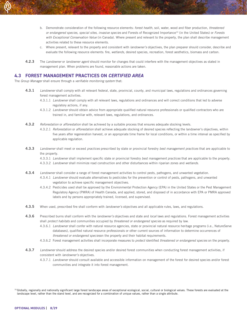- b. Demonstrate consideration of the following resource elements: *forest health*, soil, water, wood and fiber production, *threatened or endangered species, special sites, invasive species* and Forests of Recognized Importance10 (in the United States) or *Forests with Exceptional Conservation Value* (in Canada). Where present and relevant to the property, the plan shall describe management activities related to these resource elements.
- c. Where present, relevant to the property and consistent with landowner's objectives, the plan preparer should consider, describe and evaluate the following resource elements: fire, *wetlands*, desired species, recreation, forest aesthetics, biomass and carbon.
- **4.2.3** The Landowner or *landowner agent* should monitor for changes that could interfere with the management objectives as stated in management plan. When problems are found, reasonable actions are taken.

## **4.3 FOREST MANAGEMENT PRACTICES ON** *CERTIFIED AREA*

The *Group Manager* shall ensure through a verifiable *monitoring system* that:

- 4.3.1 Landowner shall comply with all relevant federal, state, provincial, county, and municipal laws, regulations and ordinances governing forest management activities.
	- 4.3.1.1 Landowner shall comply with all relevant laws, regulations and ordinances and will correct conditions that led to adverse regulatory actions, if any.
	- 4.3.1.2 Landowner should obtain advice from appropriate qualified natural resource professionals or qualified contractors who are trained in, and familiar with, relevant laws, regulations, and ordinances.
- **4.3.2** *Reforestation* or *afforestation* shall be achieved by a suitable process that ensures adequate stocking levels.
	- 4.3.2.1 *Reforestation* or *afforestation* shall achieve adequate stocking of desired species reflecting the landowner's objectives, within five years after regeneration harvest, or an appropriate time frame for local conditions, or within a time interval as specified by applicable regulation.
- **4.3.3** Landowner shall meet or exceed *practices* prescribed by state or provincial forestry *best management practices* that are applicable to the property.
	- 4.3.3.1 Landowner shall implement specific state or provincial forestry *best management practices* that are applicable to the property. 4.3.3.2 Landowner shall minimize road construction and other disturbances within riparian zones and *wetlands*.
- **4.3.4** Landowner shall consider a range of forest management activities to control pests, pathogens, and unwanted vegetation.
	- 4.3.4.1 Landowner should evaluate alternatives to pesticides for the prevention or control of pests, pathogens, and unwanted vegetation to achieve specific management objectives.
	- 4.3.4.2 Pesticides used shall be approved by the Environmental Protection Agency (EPA) in the United States or the Pest Management Regulatory Agency (PMRA) of Health Canada, and applied, stored, and disposed of in accordance with EPA or PMRA approved labels and by persons appropriately trained, licensed, and supervised.
- **4.3.5** When used, prescribed fire shall conform with landowner's objectives and all applicable rules, laws, and regulations.
- **4.3.6** Prescribed burns shall conform with the landowner's objectives and state and *local* laws and regulations. Forest management activities shall *protect habitats* and communities occupied by *threatened or endangered species* as required by law.
	- 4.3.6.1 Landowner shall confer with natural resource agencies, state or provincial natural resource heritage programs (i.e., NatureServe databases), qualified natural resource professionals or other current sources of information to determine occurrences of *threatened or endangered species*on the property and their habitat requirements.
	- 4.3.6.2 Forest management activities shall incorporate measures to *protect* identified *threatened or endangered species* on the property.
- 4.3.7 Landowner should address the desired species and/or desired forest communities when conducting forest management activities, if consistent with landowner's objectives.
	- 4.3.7.1 Landowner should consult available and accessible information on management of the forest for desired species and/or forest communities and integrate it into forest management.

<sup>&</sup>lt;sup>10</sup> Globally, regionally and nationally significant large forest landscape areas of exceptional ecological, social, cultural or biological values. These forests are evaluated at the landscape level, rather than the stand level, and are recognized for a combination of unique values, rather than a single attribute.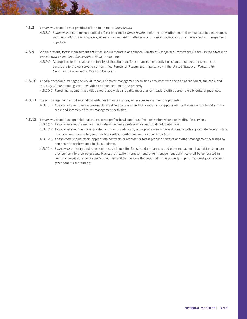- **4.3.8** Landowner should make practical efforts to promote *forest health*.
	- 4.3.8.1 Landowner should make practical efforts to promote *forest health*, including prevention, control or response to disturbances such as wildland fire, *invasive species* and other pests, pathogens or unwanted vegetation, to achieve specific management objectives.
- **4.3.9** Where present, forest management activities should maintain or enhance Forests of Recognized Importance (in the United States) or *Forests with Exceptional Conservation Value* (in Canada).
	- 4.3.9.1 Appropriate to the scale and intensity of the situation, forest management activities should incorporate measures to contribute to the conservation of identified Forests of Recognized Importance (in the United States) or *Forests with Exceptional Conservation Value* (in Canada).
- **4.3.10** Landowner should manage the visual impacts of forest management activities consistent with the size of the forest, the scale and intensity of forest management activities and the location of the property. 4.3.10.1 Forest management activities should apply visual quality measures compatible with appropriate silvicultural practices.
- **4.3.11** Forest management activities shall consider and maintain any *special sites* relevant on the property. 4.3.11.1 Landowner shall make a reasonable effort to locate and protect *special sites* appropriate for the size of the forest and the scale and intensity of forest management activities.
- 4.3.12 Landowner should use qualified natural resource professionals and qualified contractors when contracting for services.
	- 4.3.12.1 Landowner should seek qualified natural resource professionals and qualified contractors.
	- 4.3.12.2 Landowner should engage qualified contractors who carry appropriate insurance and comply with appropriate federal, state, provincial and *local* safety and fair labor rules, regulations, and standard *practices*.
	- 4.3.12.3 Landowners should retain appropriate contracts or records for forest product harvests and other management activities to demonstrate conformance to the standards.
	- 4.3.12.4 Landowner or designated representative shall monitor forest product harvests and other management activities to ensure they conform to their objectives. Harvest, utilization, removal, and other management activities shall be conducted in compliance with the *landowner's* objectives and to maintain the potential of the property to produce forest products and other benefits sustainably.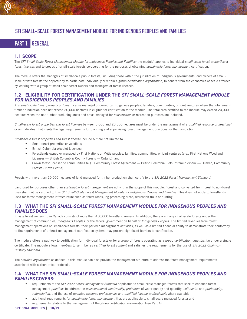# **SFI SMALL-SCALE FOREST MANAGEMENT MODULE FOR INDIGENOUS PEOPLES AND FAMILIES**

# **PART 1: GENERAL**

# **1.1 SCOPE**

The *SFI Small-Scale Forest Management Module for Indigenous Peoples and Families* (the module) applies to individual *small-scale forest properties* or *forest licenses* and to groups of small-scale forests co-operating for the purposes of obtaining *sustainable forest management* certification.

The module offers the managers of small-scale public forests, including those within the jurisdiction of Indigenous governments, and owners of smallscale private forests the opportunity to participate individually or within a group certification organization, to benefit from the economies of scale afforded by working with a group of small-scale forest owners and managers of forest licenses.

## **1.2 ELIGIBILITY FOR CERTIFICATION UNDER THE** *SFI SMALL-SCALE FOREST MANAGEMENT MODULE FOR INDIGENOUS PEOPLES AND FAMILIES*

Any *small-scale forest property or forest license* managed or owned by Indigenous peoples, families, communities, or joint ventures where the total area in timber production does not exceed 20,000 hectares is eligible for certification to the module. The total area certified to the module may exceed 20,000 hectares when the non-timber producing areas and areas managed for *conservation* or recreation purposes are included.

*Small-scale forest properties and forest licenses* between 5,000 and 20,000 hectares must be under the management of a qualified resource professional or an individual that meets the legal requirements for planning and supervising forest management practices for the jurisdiction.

*Small-scale forest properties and forest license* include but are not limited to:

- Small forest properties or woodlots:
- British Columbia Woodlot Licences;
- Forestlands owned or managed by First Nations or Métis peoples, families, communities, or joint ventures (e.g., First Nations Woodland Licenses — British Columbia; County Forests — Ontario); and
- Crown forest licensed to communities (e.g., Community Forest Agreement British Columbia; Lots Intramunicipaux Quebec; Community Forests - Nova Scotia).

Forests with more than 20,000 hectares of land managed for timber production shall certify to the *SFI 2022 Forest Management Standard.*

Land used for purposes other than *sustainable forest management* are not within the scope of this module. Forestland converted from forest to non-forest uses shall not be certified to this *SFI Small-Scale Forest Management Module for Indigenous Peoples and Families.* This does not apply to forestlands used for forest management infrastructure such as forest roads, log processing areas, recreation trails or hunting.

## **1.3 WHAT THE** *SFI SMALL-SCALE FOREST MANAGEMENT MODULE FOR INDIGENOUS PEOPLES AND FAMILIES* **DOES**

Private forest ownership in Canada consists of more than 450,000 forestland owners. In addition, there are many small-scale forests under the management of communities, *Indigenous Peoples*, or the federal government on behalf of *Indigenous Peoples*. The limited revenues from forest management operations on small-scale forests, their periodic management activities, as well as a limited financial ability to demonstrate their conformity to the requirements of a forest management certification system, may present significant barriers to certification.

The module offers a pathway to certification for individual forests or for a group of forests operating as a group certification organization under a single certificate. The module allows *members* to sell fiber as certified forest content and satisfies the requirements for the use of *SFI 2022 Chain-of-Custody Standard.* 

The *certified organization* as defined in this module can also provide the management structure to address the forest management requirements associated with carbon-offset protocols.

## **1.4 WHAT THE** *SFI SMALL-SCALE FOREST MANAGEMENT MODULE FOR INDIGENOUS PEOPLES AND FAMILIES* **COVERS:**

- requirements of the *SFI 2022 Forest Management Standard* applicable to small-scale managed forests that seek to enhance forest management *practices* to address the *conservation* of *biodiversity*, *protection* of water quality and quantity, *soil health* and *productivity*, *reforestation*, and the use of qualified resource professionals and qualified logging professionals where available;
- additional requirements for *sustainable forest management* that are applicable to small-scale managed forests; and
- requirements relating to the management of the group certification organization (see Part 4).

**OPTIONAL MODULES | 10/29**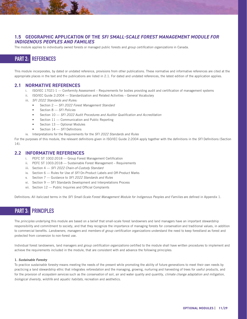# **1.5 GEOGRAPHIC APPLICATION OF THE** *SFI SMALL-SCALE FOREST MANAGEMENT MODULE FOR INDIGENOUS PEOPLES AND FAMILIES*

The module applies to individually owned forests or managed public forests and group certification organizations in Canada.

# **PART 2: REFERENCES**

This module incorporates, by dated or undated reference, provisions from other publications. These normative and informative references are cited at the appropriate places in the text and the publications are listed in 2.1. For dated and undated references, the latest edition of the application applies.

## **2.1 NORMATIVE REFERENCES**

- i. ISO/IEC 17021-1 Conformity Assessment Requirements for bodies providing audit and certification of management systems
- ii. ISO/IEC Guide 2:2004 Standardization and Related Activities General Vocabulary
- iii. *SFI 2022 Standards and Rules:*
	- Section 2 — *SFI 2022 Forest Management Standard*
	- Section 8 *SFI Policies*
	- Section 10 SFI 2022 Audit Procedures and Auditor Qualification and Accreditation
	- Section 11 Communication and Public Reporting
	- Section 13 Optional Modules
	- Section 14 *SFI* Definitions
- iv. Interpretations for the Requirements for the *SFI 2022 Standards and Rules*

For the purposes of this module, the relevant definitions given in ISO/IEC Guide 2:2004 apply together with the definitions in the *SFI* Definitions (Section 14).

#### **2.2 INFORMATIVE REFERENCES**

- i. PEFC ST 1002:2018 Group Forest Management Certification
- ii. PEFC ST 1003:2018 Sustainable Forest Management Requirements
- iii. Section 4 *SFI 2022 Chain-of-Custody Standard*
- iv. Section 6 Rules for Use of *SFI* On-Product Labels and Off-Product Marks
- v. Section 7 Guidance to *SFI 2022 Standards and Rules*
- vi. Section 9 SFI Standards Development and Interpretations Process
- vii. Section 12 Public Inquiries and Official Complaints

Definitions: All italicized terms in the *SFI Small-Scale Forest Management Module for Indigenous Peoples and Families* are defined in Appendix 1.

# **PART 3: PRINCIPLES**

The *principles* underlying this module are based on a belief that small-scale forest landowners and land managers have an important stewardship responsibility and commitment to society, and that they recognize the importance of managing forests for *conservation* and traditional values, in addition to commercial benefits. Landowners, managers and *members* of group certification organizations understand the need to keep forestland as forest and protected from conversion to non-forest use.

Individual forest landowners, land managers and group certification organizations certified to the module shall have written procedures to implement and achieve the requirements included in the module, that are consistent with and advance the following principles:

#### 1. *Sustainable Forestry*

To practice *sustainable forestry* means meeting the needs of the present while promoting the ability of future generations to meet their own needs by practicing a land stewardship ethic that integrates *reforestation* and the managing, growing, nurturing and harvesting of trees for useful products, and for the provision of *ecosystem services* such as the *conservation* of soil, air and water quality and quantity, *climate change adaptation and mitigation*, *biological diversity, wildlife* and *aquatic habitats*, recreation and aesthetics.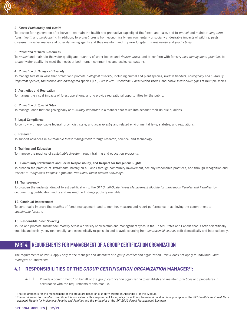#### 2. *Forest Productivity* and *Health*

To provide for regeneration after harvest, maintain the health and productive capacity of the forest land base, and to *protect* and maintain *long-term forest health* and *productivity*. In addition, to *protect* forests from economically, environmentally or socially undesirable impacts of wildfire, pests, diseases, *invasive species* and other damaging agents and thus maintain and improve *long-term forest health* and *productivity.*

#### 3. *Protection* of Water Resources

To *protect* and maintain the water quality and quantity of water bodies and *riparian areas,* and to conform with forestry *best management practices* to *protect* water quality, to meet the needs of both human communities and ecological systems.

#### 4. *Protection* of *Biological Diversity*

To manage forests in ways that *protect* and promote *biological diversity*, including animal and plant species, *wildlife habitats, ecologically and culturally important species*, *threatened and endangered* species (i.e., *Forest with Exceptional Conservation Values*) and native *forest cover types* at multiple scales.

#### 5. Aesthetics and Recreation

To manage the visual impacts of forest operations, and to provide recreational opportunities for the public.

#### 6. *Protection* of *Special Sites*

To manage lands that are geologically or *culturally important* in a manner that takes into account their unique qualities.

#### 7. Legal Compliance

To comply with applicable federal, provincial, state, and *local forestry* and related environmental laws, statutes, and regulations.

#### 8. Research

To support advances in *sustainable forest management* through research, science, and technology.

#### 9. Training and Education

To improve the practice of *sustainable forestry* through training and education *programs.*

#### 10. Community Involvement and Social Responsibility, and Respect for Indigenous Rights

To broaden the practice of *sustainable forestry* on all lands through community involvement, socially responsible practices, and through recognition and respect of Indigenous Peoples' rights and traditional forest-related knowledge.

#### 11. Transparency

To broaden the understanding of forest certification to the *SFI Small-Scale Forest Management Module for Indigenous Peoples and Families*. by documenting certification audits and making the findings publicly available.

#### 12. Continual Improvement

To continually improve the *practice* of forest management, and to monitor, measure and report performance in achieving the commitment to *sustainable forestry.*

#### 13. Responsible *Fiber Sourcing*

To use and promote *sustainable forestry* across a diversity of ownership and management types in the United States and Canada that is both scientifically credible and socially, environmentally, and economically responsible and to avoid sourcing from *controversial sources* both domestically and internationally.

# **PART 4: REQUIREMENTS FOR MANAGEMENT OF A GROUP CERTIFICATION ORGANIZATION**

The requirements of Part 4 apply only to the manager and *members* of a group certification organization. Part 4 does not apply to individual *land managers* or landowners.

## **4.1 RESPONSIBILITIES OF THE** *GROUP CERTIFICATION ORGANIZATION* **MANAGER11:**

**4.1.1** Provide a commitment12 on behalf of the group certification organization to establish and maintain *practices* and procedures in accordance with the requirements of this module.

<sup>11</sup> The requirements for the management of the group are based on eligibility criteria in Appendix 3 of this Module.<br><sup>12</sup> The requirement for *member* commitment is consistent with a requirement for a *policy* (or *polici agement Module for Indigenous Peoples and Families* and the *principles* of the *SFI 2022 Forest Management Standard.*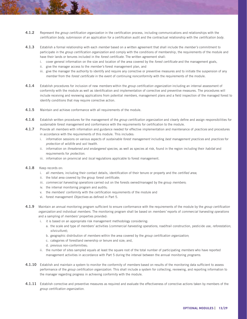- **4.1.2** Represent the group certification organization in the certification process, including communications and relationships with the certification body, submission of an application for a certification audit and the contractual relationship with the certification body.
- **4.1.3** Establish a formal relationship with each *member* based on a written agreement that shall include the member's commitment to participate in the group certification organization and comply with the conditions of membership, the requirements of the module and have their lands or tenures included in the *forest certificate*. The written agreement shall:
	- i. cover general information on the size and location of the area covered by the *forest certificate* and the management goals,
	- ii. give the manager access to the member's forest management plan, and
	- iii. give the manager the authority to identify and require any corrective or preventive measures and to initiate the suspension of any *member* from the forest certificate in the event of continuing nonconformity with the requirements of the module.
- **4.1.4** Establish procedures for inclusion of new *members* within the group certification organization including an internal assessment of conformity with the module as well as identification and implementation of corrective and preventive measures. The procedures will include receiving and reviewing applications from potential *members*, management plans and a field inspection of the managed forest to identify conditions that may require corrective action.
- **4.1.5** Maintain and achieve conformance with all requirements of the module.
- 4.1.6 Establish written procedures for the management of the group certification organization and clearly define and assign responsibilities for *sustainable forest management* and conformance with the requirements for certification to the module.
- **4.1.7** Provide all *members* with information and guidance needed for effective implementation and maintenance of *practices* and procedures in accordance with the requirements of this module. This includes:
	- i. information sessions on various aspects of *sustainable forest management* including *best management practices* and *practices* for *protection* of *wildlife* and *soil health*.
	- ii. information on *threatened and endangered species*, as well as species at risk, found in the region including their *habitat* and requirements for *protection*.
	- iii. information on provincial and *local* regulations applicable to forest management.
- **4.1.8** Keep records on:
	- i. all *members*, including their contact details, identification of their tenure or property and the *certified area*;
	- ii. the total area covered by the group forest certificate;
	- iii. *commercial harvesting operations* carried out on the forests owned/managed by the group *members*;
	- iv. the internal monitoring program and audits;
	- v. the *members*' conformity with the certification requirements of the module and
	- vi. forest management Objectives as defined in Part 5.
- **4.1.9** Maintain an annual monitoring program sufficient to ensure conformance with the requirements of the module by the group certification organization and individual *members.* The monitoring program shall be based on members' reports of *commercial harvesting operations* and a sampling of members' properties provided:
	- i. it is based on an appropriate risk management methodology considering:
		- a. the scale and type of members' activities (*commercial harvesting operations*, road/trail construction, pesticide use, *reforestation*, *silviculture*);
		- b. geographic distribution of *members* within the area covered by the group certification organization;
		- c. categories of forestland ownership or tenure and size; and,
		- d. previous non-conformities;
	- ii. the number of sites sampled equals at least the square root of the total number of participating *members* who have reported management activities in accordance with Part 5 during the interval between the annual monitoring *programs*.
- **4.1.10** Establish and maintain a system to monitor the conformity of *members* based on results of the monitoring data sufficient to assess performance of the group certification organization. This shall include a system for collecting, reviewing, and reporting information to the manager regarding progress in achieving conformity with the module.
- **4.1.11** Establish corrective and preventive measures as required and evaluate the effectiveness of corrective actions taken by members of the group certification organization.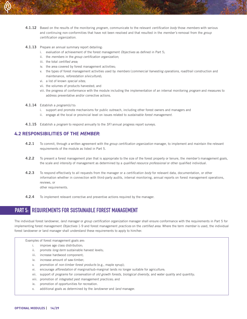- **4.1.12** Based on the results of the monitoring *program*, communicate to the relevant certification body those *members* with serious and continuing non-conformities that have not been resolved and that resulted in the member's removal from the *group*  certification organization.
- **4.1.13** Prepare an annual summary report detailing:
	- i. evaluation of achievement of the forest management *Objectives* as defined in Part 5;
	- ii. the *members* in the group certification organization;
	- iii. the total certified area;
	- iv. the area covered by forest management activities;
	- v. the types of forest management activities used by *members* (*commercial harvesting operations*, road/trail construction and maintenance, *reforestation silviculture*);
	- vi. a list of known *special sites*;
	- vii. the volumes of products harvested; and
	- viii. the progress of conformance with the module including the implementation of an internal monitoring *program* and measures to address preventative and/or corrective actions.
- **4.1.14** Establish a *program(s)* to:
	- i. support and promote mechanisms for public outreach, including other forest owners and managers and
	- ii. engage at the local or provincial level on issues related to *sustainable forest management.*
- **4.1.15** Establish a *program* to respond annually to the *SFI* annual progress report surveys.

## **4.2 RESPONSIBILITIES OF THE** *MEMBER***:**

- **4.2.1** To commit, through a written agreement with the group certification organization manager, to implement and maintain the relevant requirements of the module as listed in Part 5.
- **4.2.2** To present a forest management plan that is appropriate to the size of the forest property or tenure, the member's management goals, the scale and intensity of management as determined by a qualified resource professional or other qualified individual.
- **4.2.3** To respond effectively to all requests from the manager or a certification body for relevant data, documentation, or other information whether in connection with third-party audits, internal monitoring, annual reports on forest management operations, reviews, or

other requirements.

**4.2.4** To implement relevant corrective and preventive actions required by the manager.

# **PART 5: REQUIREMENTS FOR SUSTAINABLE FOREST MANAGEMENT**

The individual forest landowner, *land manager* or group certification organization manager shall ensure conformance with the requirements in Part 5 for implementing forest management Objectives 1-9 and forest management *practices* on the certified area. Where the term *member* is used, the individual forest landowner or land manager shall understand these requirements to apply to him/her.

Examples of forest management goals are:

- i. improve age class distribution;
- ii. promote *long-term* sustainable harvest levels;
- iii. increase hardwood component;
- iv. increase amount of saw-timber;
- v. promotion of *non-timber forest products* (e.g., maple syrup);
- vi. encourage *afforestation* of marginal/sub-marginal lands no longer suitable for agriculture;
- vii. support of *programs* for *conservation* of *old growth forests*, *biological diversity*, and water quality and quantity;
- viii. promotion of *integrated pest management practices;* and
- ix. promotion of opportunities for recreation.
- x. additional goals as determined by the *landowner* and *land* manager.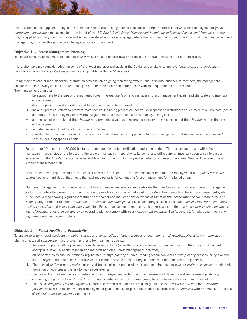(Note: Guidance text appears throughout this section inside boxes. This guidance is meant to inform the forest landowner, land managers and *group*  certification organization managers about the intent of the *SFI Small-Scale Forest Management Module for Indigenous Peoples and Families* and how it may be applied on-the-ground. Guidance text is not considered normative language. Where the term *member* is used, the individual forest landowner, land manager may consider this guidance as being appropriate to him/her.)

#### **Objective 1 — Forest Management Planning:**

To ensure forest management plans include *long-term* sustainable harvest levels and measures to avoid conversion to non-forest use.

(Note: *Members* may consider adopting some of the forest management goals in the Guidance box above to improve *forest health* and *productivity,* promote *biodiversity* and *protect* water quality and quantity on the certified area.)

Using *members* and/or land managers information sessions, an on-going monitoring system, and individual outreach to *members*, the manager shall ensure that the following aspects of forest management are implemented in conformance with the requirements of the module. The management plan shall:

- i. be appropriate to the size of the managed forest, the member's or land manager's forest management goals, and the scale and intensity of management.
- ii. describe present forest conditions and forest conditions to be achieved;
- iii. make all practical efforts to promote *forest health*, including prevention, control, or response to disturbances such as wildfire, *invasive species*  and other pests, pathogens, or unwanted vegetation, to achieve specific forest management goals;
- iv. address species at risk and their *habitat* requirements as well as measures to conserve these species and their *habitats* within the area of management;
- v. include measures to address known *special sites* and
- vi. provide information on other *local*, provincial, and federal regulations applicable to forest management and *threatened and endangered*  species including species at risk.

Forests from 10 hectares to 20,000 hectares in area are eligible for certification under the module. The management plans will reflect the management goals, size of the forest and the scale of management operations. Larger forests will require an inventory upon which to base an assessment of the *long-term* sustainable harvest level and to permit planning and scheduling of harvest operations. Smaller forests require a simpler management plan.

Small-scale forest properties and forest licenses between 5,000 and 20,000 hectares must be under the management of a qualified resource *professional* or an individual that meets the legal requirements for conducting forest management for the jurisdiction.

 The forest management plan is based on sound forest management science and embodies the *members* or land manager's current management goals. It describes the present forest conditions and provides a practical schedule of *silvicultural* treatments to achieve the management goals. It includes: a map showing significant features of the forest and includes considerations of *forest health*, *conservation* of soil *productivity*, and water quality; timber production; *protection* of *threatened and endangered* species including species at risk; and *special sites, traditional forest*related knowledge, and *ecologically important* sites. Forest management operations such as road construction, *commercial harvesting operations* and *reforestation* should be covered by an operating plan or comply with *best management practices*. See Appendix 2 for additional information regarding forest management plans.

#### **Objective 2 —** *Forest Health* **and** *Productivity***:**

To ensure *long-term* forest *productivity*, carbon storage and *conservation* of forest resources through prompt *reforestation*, *afforestation*, minimized chemical use, soil *conservation*, and *protecting* forests from damaging agents.

- i. An operating plan shall be prepared for each harvest activity (other than cutting volumes for *personal use* or cultural use) to document appropriate *silviculture* and regeneration methods and other forest management *practices*;
- ii. All harvested areas shall be promptly regenerated through *planting* or direct seeding within two years or two *planting* seasons, or by planned natural regeneration methods within five years. Desirable advanced natural regeneration shall be protected during harvest;
- iii. Plantings of *native* or non-*invasive* naturalized tree species are preferred. In exceptional circumstances where *exotic tree species* are planted, they should not increase the risk to *native* ecosystems;
- iv. The use of fire is allowed as a *silvicultural* or forest management technique for achievement of defined forest management goals (e.g., enhancing the growth of *non-timber forest products*, enhancement of *wildlife* forage, hazard abatement near communities, etc.);
- v. The use of *integrated pest management* is preferred. When pesticides are used, they shall be the *least-toxic and narrowest-spectrum pesticides* necessary to achieve forest management goals. The use of pesticides shall be controlled and minimized with preference for the use of *integrated pest management* methods;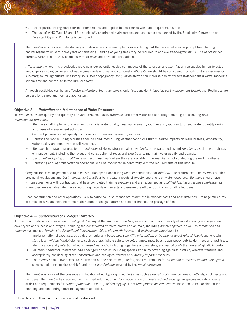- vi. Use of pesticides registered for the intended use and applied in accordance with label requirements; and
- vii. The use of WHO Type 1A and 1B pesticides<sup>13</sup>, chlorinated hydrocarbons and any pesticides banned by the Stockholm Convention on Persistent Organic Pollutants is prohibited.

 The *member* ensures adequate stocking with desirable and site-adapted species throughout the harvested area by prompt tree planting or natural regeneration within five years of harvesting. Tending of young trees may be required to achieve free-to-grow status. Use of prescribed burning, when it is utilized, complies with all *local* and provincial regulations.

*Afforestation*, where it is practiced, should consider potential ecological impacts of the selection and *planting* of tree species in non-forested landscapes avoiding conversion of native grasslands and *wetlands* to forests. *Afforestation* should be considered for soils that are marginal or sub-marginal for agricultural use (stony soils, steep topography, etc.). *Afforestation* can increase habitat for forest-dependent *wildlife*, moderate stream flow and contribute to the rural economy.

Although pesticides can be an effective *silvicultural* tool, *members* should first consider *integrated pest management techniques*. Pesticides are be used by trained and licensed applicators.

#### **Objective 3 —** *Protection* **and Maintenance of Water Resources:**

To *protect* the water quality and quantity of rivers, streams, lakes, *wetlands,* and other water bodies through meeting or exceeding *best management practices.*

- i. *Members* shall implement federal and provincial water quality *best management practices* and *practices* to *protect* water quantity during all phases of management activities.
- ii. Contract provisions shall specify conformance to *best management practices.*
- iii. Harvest and road building activities shall be conducted during weather conditions that minimize impacts on residual trees, *biodiversity*, water quality and quantity and soil resources.
- iv. *Member* shall have measures for the *protection* of rivers, streams, lakes, *wetlands*, other water bodies and *riparian areas* during all phases of management, including the layout and construction of roads and *skid trails* to maintain water quality and quantity.
- v. Use qualified logging or qualified resource professionals where they are available if the *member* is not conducting the work him/herself.
- vi. Harvesting and log transportation operations shall be conducted in conformity with the requirements of this module.

 Carry out forest management and road construction operations during weather conditions that minimize site disturbance. The *member* applies provincial regulations and *best management practices* to mitigate impacts of forestry operations on water resources. *Members* should have written agreements with contractors that have completed training *programs* and are recognized as qualified logging or *resource professionals*  where they are available. *Members* should keep records of harvests and ensure the efficient utilization of all felled trees.

Road construction and other operations likely to cause soil disturbance are minimized in *riparian areas* and near *wetlands*. Drainage structures of sufficient size are installed to maintain natural drainage patterns and do not impede the passage of fish.

#### **Objective 4 —** *Conservation* of *Biological Diversity***:**

To maintain or advance *conservation* of *biological diversity* at the *stand-* and *landscape-*level and across a diversity of *forest cover types*, vegetation cover types and successional stages, including the *conservation* of forest plants and animals, including *aquatic species*, as well as *threatened and endangered* species, *Forests with Exceptional Conservation Value*, *old-growth forests*, and *ecologically important* sites.

- i. Implementation of *practices*, as guided by regionally based best scientific information, or traditional forest-related knowledge to retain *stand*-level *wildlife habitat* elements such as snags (where safe to do so), stumps, mast trees, down woody debris, den trees and nest trees.
- ii. Identification and *protection* of *non-forested wetlands*, including bogs, fens and marshes, and *vernal pools* that are *ecologically* important.
- iii. Maintain *habitat* for *threatened and endangered* species including species at risk by providing age class diversity wherever feasible and appropriately considering other *conservation* and ecological factors or *culturally important* species.
- iv. The *member* shall have access to information on the occurrence, *habitat*, and requirements for *protection* of *threatened and endangered* species including species at risk found in the *certified area* covered by the *forest certificate.*

 The *member* is aware of the presence and location of *ecologically important sites* such as *vernal pools, riparian areas, wetlands*, stick nests and den trees. The *member* has received and has used information on *local* occurrence of *threatened and endangered* species including species at risk and requirements for *habitat protection*. Use of qualified logging or *resource professionals* where available should be considered for planning and conducting forest management activities.

<sup>13</sup> Exemptions are allowed where no other viable alternative exists.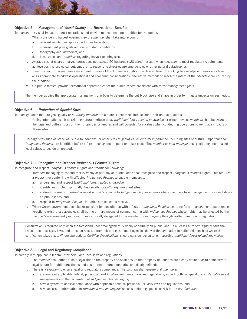#### **Objective 5 — Management of** *Visual Quality* **and Recreational Benefits:**

To manage the visual impact of forest operations and provide recreational opportunities for the public.

- i. When considering harvest opening size the *member* shall take into account:
	- a. relevant regulations applicable to tree harvesting;
	- b. management plan goals and current *stand* conditions;
	- c. topography and viewpoints; and
	- d. local values and *practices* regarding harvest opening size.
- ii. Average size of clearcut harvest areas does not exceed 50 hectares (120 acres), except when necessary to meet regulatory requirements, achieve positive ecological outcomes or to respond to *forest health* emergencies or other natural catastrophes.
- iii. Trees in clearcut harvest areas are at least 3 years old or 1.5 meters high at the desired level of stocking before adjacent areas are clearcut, or as appropriate to address operational and economic considerations, alternative methods to reach the intent of the Objective are utilized by the *member*.
- iv. On public forests, provide recreational opportunities for the public, where consistent with forest management goals.

The member applies the appropriate management *practices* to determine the cut block size and shape in order to mitigate impacts on aesthetics.

#### **Objective 6 —** *Protection o*f *Special Sites***:**

To manage lands that are geologically or *culturally important* in a manner that takes into account their unique qualities.

i. Using information such as existing natural heritage data, traditional forest-related knowledge, or expert advice, *members* shall be aware of heritage and cultural sites on their properties or tenures and will consider *local* values when conducting operations to minimize impacts on these sites.

Heritage sites such as stone walls, old foundations, or other sites of geological or *cultural importance,* including sites of cultural importance for *Indigenous Peoples*, are identified before a forest management operation takes place. The *member* or *land manager* uses good judgement based on local values to decide on protection.

#### **Objective 7 — Recognize and Respect** *Indigenous Peoples'* **Rights:**

To recognize and respect *Indigenous Peoples'* rights and traditional knowledge.

- i. Members managing forestland that is wholly or partially on public lands shall recognize and respect Indigenous Peoples' rights. This requires a *program* for conferring with affected *Indigenous Peoples* to enable members to:
	- a. understand and respect traditional forest-related knowledge;
	- b. identify and protect spiritually, historically, or *culturally important* sites;
	- c. address the use of *non-timber forest products* of value to *Indigenous Peoples* in areas where *members* have management responsibilities on public lands; and
	- respond to Indigenous Peoples' inquiries and concerns received.
- ii. Where Crown government agencies responsible for consultation with affected *Indigenous Peoples* regarding forest management operations on forestland exist, these agencies shall be the primary means of communicating with *Indigenous Peoples* whose rights may be affected by the member's management *practices*, unless explicitly delegated to the member by said agency through written direction or regulation.

Consultation is required only when the forestland under management is wholly or partially on public land. In all cases Certified Organizations shall respect the processes, laws, and direction received from relevant government agencies derived through nation-to-nation relationships where the certification takes place. Where appropriate, Certified Organizations should consider consultation regarding traditional forest-related knowledge.

#### **Objective 8 — Legal and Regulatory Compliance:**

To comply with applicable federal, provincial, and *local* laws and regulations.

- i. The *member* shall either a) hold legal title to the property and shall ensure that property boundaries are clearly defined, or b) demonstrate legal tenure for public forestlands and ensure that tenure boundaries are clearly defined;
- ii. There is a *program* to ensure legal and regulatory compliance. The *program* shall ensure that *members*:
	- a. are aware of applicable federal, provincial, and *local* environmental laws and regulations, including those specific to *sustainable forest management* and the recognition of *Indigenous Peoples*' rights;
	- b. have a system to achieve compliance with applicable federal, provincial, or *local* laws and regulations; and
	- c. have access to information on *threatened and endangered* species including species at risk in the certified area.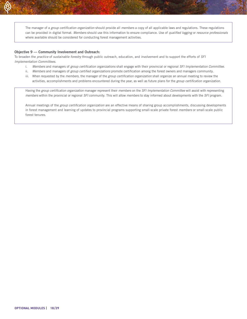The manager of a group certification organization should provide all *members* a copy of all applicable laws and regulations. These regulations can be provided in digital format. *Members* should use this information to ensure compliance. Use of qualified logging or *resource professionals*  where available should be considered for conducting forest management activities.

#### **Objective 9 — Community Involvement and Outreach:**

To broaden the *practice* of *sustainable forestry* through public outreach, education, and involvement and to support the efforts of *SFI Implementation Committees.* 

- i. *Members* and managers of group certification organizations shall engage with their provincial or regional *SFI Implementation Committee*.
- ii. *Members* and managers of group certified organizations promote certification among the forest owners and managers community.
- iii. When requested by the *members*, the manager of the group certification organization shall organize an annual meeting to review the activities, accomplishments and problems encountered during the year, as well as future plans for the group certification organization.

Having the group certification organization manager represent their *members* on the *SFI Implementation Committee* will assist with representing *members* within the provincial or regional *SFI* community. This will allow *members* to stay informed about developments with the *SFI* program.

Annual meetings of the group certification organization are an effective means of sharing group accomplishments, discussing developments in forest management and learning of updates to provincial programs supporting small-scale private forest *members* or small-scale public forest tenures.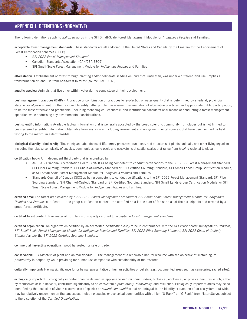# **APPENDIX 1. DEFINITIONS (NORMATIVE)**

The following definitions apply to italicized words in the SFI Small-Scale Forest Management Module for *Indigenous Peoples* and Families.

acceptable forest management standards: These standards are all endorsed in the United States and Canada by the Program for the Endorsement of Forest Certification schemes (PEFC).

- S*FI 2022 Forest Management Standard*
- Canadian Standards Association (CAN/CSA-Z809)
- SFI Small-Scale Forest Management Module for *Indigenous Peoples* and Families

afforestation: Establishment of forest through planting and/or deliberate seeding on land that, until then, was under a different land use, implies a transformation of land use from non-forest to forest (source: FAO 2018).

aquatic species: Animals that live on or within water during some stage of their development.

best management practices (BMPs): A practice or combination of practices for *protection* of water quality that is determined by a federal, provincial, state, or *local* government or other responsible entity, after problem assessment, examination of alternative practices, and appropriate public participation, to be the most effective and practicable (including technological, economic, and institutional considerations) means of conducting a forest management operation while addressing any environmental considerations.

best scientific information: Available factual information that is generally accepted by the broad scientific community. It includes but is not limited to peer-reviewed scientific information obtainable from any source, including government and non-governmental sources, that have been verified by field testing to the maximum extent feasible.

biological diversity, biodiversity: The variety and abundance of life forms, processes, functions, and structures of plants, animals, and other living organisms, including the relative complexity of species, communities, gene pools and ecosystems at spatial scales that range from *local* to regional to global.

certification body: An independent third party that is accredited by:

- ANSI-ASQ National Accreditation Board (ANAB) as being competent to conduct certifications to the SFI 2022 Forest Management Standard, SFI Fiber Sourcing Standard, SFI Chain-of-Custody Standard or SFI Certified Sourcing Standard, SFI Small Lands Group Certification Module, or SFI Small Scale Forest Management Module for *Indigenous Peoples* and Families.
- Standards Council of Canada (SCC) as being competent to conduct certifications to the SFI 2022 Forest Management Standard, SFI Fiber Sourcing Standard, SFI Chain-of-Custody Standard or SFI Certified Sourcing Standard, SFI Small Lands Group Certification Module, or SFI Small Scale Forest Management Module for *Indigenous Peoples* and Families.

certified area: The forest area covered by a *SFI 2022 Forest Management Standard* or *SFI Small-Scale Forest Management Module for Indigenous Peoples and Families* certificate. In the group certification context, the certified area is the sum of forest areas of the participants and covered by a group forest certificate.

certified forest content: Raw material from lands third-party certified to *acceptable forest management standards*.

certified organization: An organization certified by an accredited certification body to be in conformance with the *SFI 2022 Forest Management Standard, SFI Small-Scale Forest Management Module for Indigenous Peoples and Families, SFI 2022 Fiber Sourcing Standard, SFI 2022 Chain of Custody Standard* and/or the SFI 2022 Certified Sourcing Standard.

commercial harvesting operations: Wood harvested for sale or trade.

conservation: 1. *Protection* of plant and animal *habitat*. 2. The management of a renewable natural resource with the objective of sustaining its *productivity* in perpetuity while providing for human use compatible with sustainability of the resource.

culturally important: Having significance for or being representative of human activities or beliefs (e.g., documented areas such as cemeteries, sacred sites).

ecologically important: Ecologically important can be defined as applying to *natural communities*, biological, ecological, or physical features which, either by themselves or in a network, contribute significantly to an ecosystem's *productivity*, *biodiversity*, and resilience. Ecologically important areas may be so identified by the inclusion of viable occurrences of species or *natural communities* that are integral to the identity or function of an ecosystem, but which may be relatively uncommon on the landscape, including species or ecological communities with a high "S-Rank" or "G-Rank" from NatureServe, subject to the discretion of the Certified Organization.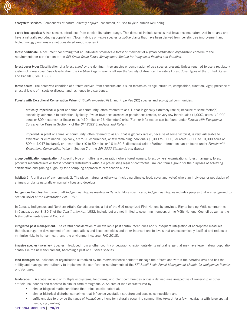ecosystem services: Components of nature, directly enjoyed, consumed, or used to yield human well-being.

exotic tree species: A tree species introduced from outside its natural range. This does not include species that have become naturalized in an area and have a naturally reproducing population. (Note: Hybrids of *native* species or *native* plants that have been derived from genetic tree improvement and biotechnology *programs* are not considered exotic species.)

forest certificate: A document confirming that an individual small-scale forest or *members* of a group certification organization conform to the requirements for certification to the *SFI Small-Scale Forest Management Module for Indigenous Peoples and Families.* 

forest cover type: Classification of a forest *stand* by the dominant tree species or combination of tree species present. Unless required to use a regulatory system of *forest cover type* classification the Certified Organization shall use the Society of American Foresters Forest Cover Types of the United States and Canada (Eyre, 1980).

forest health: The perceived condition of a forest derived from concerns about such factors as its age, structure, composition, function, vigor, presence of unusual levels of insects or disease, and resilience to disturbance.

Forests with Exceptional Conservation Value: C*ritically imperiled* (G1) and *imperiled* (G2) species and ecological communities.

critically imperiled: A plant or animal or community, often referred to as G1, that is globally extremely rare or, because of some factor(s), especially vulnerable to extinction. Typically, five or fewer occurrences or populations remain, or very few individuals (<1,000), acres (<2,000 acres or 809 hectares), or linear miles (<10 miles or 16 kilometers) exist (Further information can be found under *Forests with Exceptional Conservation Value* in Section 7 of the *SFI 2022 Standards and Rules*).

imperiled: A plant or animal or community, often referred to as G2, that is globally rare or, because of some factor(s), is very vulnerable to extinction or elimination. Typically, six to 20 occurrences, or few remaining individuals (1,000 to 3,000), or acres (2,000 to 10,000 acres or 809 to 4,047 hectares), or linear miles (10 to 50 miles or 16 to 80.5 kilometers) exist. (Further information can be found under *Forests with Exceptional Conservation Value* in Section 7 of the *SFI 2022 Standards and Rules.*)

group certification organization: A specific type of multi-site organization where forest owners, forest owners' organizations, forest managers, forest products manufacturers or forest products distributors without a pre-existing legal or contractual link can form a group for the purposes of achieving certification and gaining eligibility for a sampling approach to certification audits.

habitat: 1. A unit area of environment. 2. The place, natural or otherwise (including climate, food, cover and water) where an individual or population of animals or plants naturally or normally lives and develops.

Indigenous Peoples: Inclusive of all *Indigenous Peoples* residing in Canada. More specifically, *Indigenous Peoples* includes peoples that are recognized by section 35(2) of the *Constitution Act*, 1982.

In Canada, Indigenous and Northern Affairs Canada provides a list of the 619 recognized First Nations by province. Rights-holding Métis communities in Canada, as per S. 35(2) of the *Constitution Act,* 1982, include but are not limited to governing members of the Métis National Council as well as the Métis Settlements General Council.

integrated pest management: The careful consideration of all available pest control techniques and subsequent integration of appropriate measures that discourage the development of pest populations and keep pesticides and other interventions to levels that are economically justified and reduce or minimize risks to human health and the environment (source: FAO 2018).

invasive species (invasive): Species introduced from another country or geographic region outside its natural range that may have fewer natural population controls in the new environment, becoming a pest or nuisance species.

land manager: An individual or organization authorized by the *member*/license holder to manage their forestland within the *certified area* and has the ability and management authority to implement the certification requirements of the *SFI Small-Scale Forest Management Module for Indigenous Peoples and Families.*

landscape: 1. A spatial mosaic of multiple ecosystems, landforms, and plant communities across a defined area irrespective of ownership or other artificial boundaries and repeated in similar form throughout. 2. An area of land characterized by:

- similar biogeoclimatic conditions that influence site potential;
- similar historical disturbance regimes that influence vegetation structure and species composition; and
- sufficient size to provide the range of *habitat* conditions for naturally occurring communities (except for a few megafauna with large spatial needs, e.g., wolves).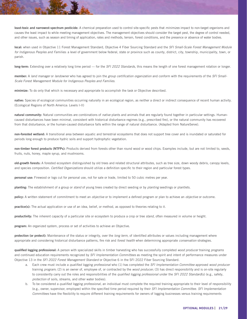least-toxic and narrowest-spectrum pesticide: A chemical preparation used to control site-specific pests that *minimizes* impact to non-target organisms and causes the least impact to while meeting management objectives. The management objectives should consider the target pest, the degree of control needed, and other issues, such as season and timing of application, rates and methods, terrain, forest conditions, and the presence or absence of water bodies.

local: when used in Objective 11 Forest Management Standard, Objective 4 Fiber Sourcing Standard and the *SFI Small-Scale Forest Management Module for Indigenous Peoples and Families*: a level of government below federal, state or province such as county, district, city, township, municipality, town, or parish.

long-term: Extending over a relatively long time period — for the *SFI 2022 Standards*, this means the length of one forest management rotation or longer.

member: A *land manager* or *landowner* who has agreed to join the group certification organization and conform with the requirements of the *SFI Small-Scale Forest Management Module for Indigenous Peoples and Families.* 

minimize: To do only that which is necessary and appropriate to accomplish the task or Objective described.

native: Species of ecological communities occurring naturally in an ecological region, as neither a direct or indirect consequence of recent human activity. (Ecological Regions of North America: Levels I-II)

natural community: Natural communities are combinations of *native* plants and animals that are regularly found together in particular settings. Humancaused disturbances have been minimal, consistent with historical disturbance regimes (e.g., prescribed fire), or the natural community has recovered from that disturbance, or the human-caused disturbance falls within the range of natural disturbance. (Adapted from NatureServe).

non-forested wetland: A transitional area between aquatic and terrestrial ecosystems that does not support tree cover and is inundated or saturated for periods long enough to produce hydric soils and support hydrophytic vegetation.

non-timber forest products (NTFPs): Products derived from forests other than round wood or wood chips. Examples include, but are not limited to, seeds, fruits, nuts, honey, maple syrup, and mushrooms.

old-growth forests: A forested ecosystem distinguished by old trees and related structural attributes, such as tree size, down woody debris, canopy levels, and species composition. Certified Organizations should utilize a definition specific to their region and particular forest types.

personal use: Firewood or logs cut for personal use, not for sale or trade, limited to 50 cubic metres per year.

planting: The establishment of a group or *stand* of young trees created by direct seeding or by *planting* seedlings or plantlets.

policy: A written statement of commitment to meet an *objective* or to implement a defined program or plan to achieve an *objective* or outcome.

practice(s): The actual application or use of an idea, belief, or method, as opposed to theories relating to it.

productivity: The inherent capacity of a particular site or ecosystem to produce a crop or tree *stand*, often measured in volume or height.

program: An organized system, process or set of activities to achieve an Objective.

protection (or protect): Maintenance of the status or integrity, over the *long term*, of identified attributes or values including management where appropriate and considering historical disturbance patterns, fire risk and *forest health* when determining appropriate *conservation* strategies.

qualified logging professional: A person with specialized skills in timber harvesting who has successfully completed *wood producer* training *programs*  and continued education requirements recognized by *SFI Implementation Committees* as meeting the spirit and intent of performance measures under Objective 13 in the *SFI 2022 Forest Management Standard* or Objective 6 in the SFI 2022 Fiber Sourcing Standard.

- a. Each crew must include a qualified logging professional who (1) has completed the *SFI Implementation Committee* approved *wood producer* training *program*; (2) is an owner of, employee of, or contracted by the *wood producer*; (3) has direct responsibility and is on-site regularly to consistently carry out the roles and responsibilities of the qualified logging professional under the *SFI 2022 Standard*(s) (e.g., safety, *protection* of soils, streams, and other water bodies).
- b. To be considered a qualified logging professional, an individual must complete the required training appropriate to their level of responsibility (e.g., owner, supervisor, employee) within the specified time period required by their *SFI Implementation Committee. SFI Implementation Committees* have the flexibility to require different training requirements for owners of logging businesses versus training requirements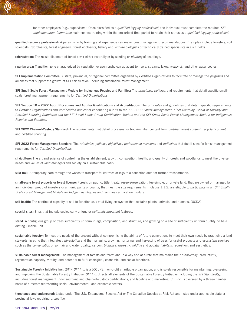for other employees (e.g., supervisors). Once classified as a qualified logging professional, the individual must complete the required *SFI Implementation Committee* maintenance training within the prescribed time period to retain their status as a qualified logging professional.

qualified resource professional: A person who by training and experience can make forest management recommendations. Examples include foresters, soil scientists, hydrologists, forest engineers, forest ecologists, fishery and *wildlife* biologists or technically trained specialists in such fields.

reforestation: The reestablishment of forest cover either naturally or by seeding or *planting* of seedlings.

riparian area: Transition zone characterized by vegetation or geomorphology adjacent to rivers, streams, lakes, *wetlands*, and other water bodies.

SFI Implementation Committee: A state, provincial, or regional committee organized by Certified Organizations to facilitate or manage the *programs* and alliances that support the growth of SFI certification, including sustainable forest management.

SFI Small-Scale Forest Management Module for Indigenous Peoples and Families: The *principles, policies,* and requirements that detail specific smallscale forest management requirements for Certified Organizations.

SFI Section 10 – 2022 Audit Procedures and Auditor Qualifications and Accreditation: The *principles* and guidelines that detail specific requirements to Certified Organizations and certification bodies for conducting audits to the *SFI 2022 Forest Management, Fiber Sourcing, Chain-of-Custody and*  Certified Sourcing Standards and the SFI Small Lands Group Certification Module and the SFI Small-Scale Forest Management Module for Indigenous *Peoples and Families.*

SFI 2022 Chain-of-Custody Standard: The requirements that detail processes for tracking fiber content from certified forest content, recycled content, and certified sourcing.

SFI 2022 Forest Management Standard: The principles, policies, objectives, performance measures and *indicators* that detail specific forest management requirements for Certified Organizations.

silviculture: The art and science of controlling the establishment, growth, composition, health, and quality of forests and woodlands to meet the diverse needs and values of *land managers* and society on a sustainable basis.

skid trail: A temporary path through the woods to transport felled trees or logs to a collection area for further transportation.

small-scale forest property or forest license: Forests on public, title, treaty, reserve/reservation, fee-simple, or private land, that are owned or managed by an individual, group of investors or a municipality or county, that meet the size requirements in clause 1.1.2, are eligible to participate in an *SFI Small-Scale Forest Management Module for Indigenous Peoples and Families* certification module.

soil health: The continued capacity of soil to function as a vital living ecosystem that sustains plants, animals, and humans. (USDA)

special sites: Sites that include geologically unique or *culturally important* features.

stand: A contiguous group of trees sufficiently uniform in age, composition, and structure, and growing on a site of sufficiently uniform quality, to be a distinguishable unit.

sustainable forestry: To meet the needs of the present without compromising the ability of future generations to meet their own needs by practicing a land stewardship ethic that integrates *reforestation* and the managing, growing, nurturing, and harvesting of trees for useful products and *ecosystem services* such as the *conservation* of soil, air and water quality, carbon, *biological diversity, wildlife* and *aquatic habitats*, recreation, and aesthetics.

sustainable forest management: The management of forests and forestland in a way and at a rate that maintains their *biodiversity*, productivity, regeneration capacity, vitality, and potential to fulfil ecological, economic, and social functions.

Sustainable Forestry Initiative Inc. (SFI): *SFI Inc.* is a 501c (3) non-profit charitable organization, and is solely responsible for maintaining, overseeing and improving the Sustainable Forestry Initiative. *SFI Inc.* directs all elements of the Sustainable Forestry Initiative including the *SFI Standard(s),* including forest management, fiber sourcing, and chain-of-custody certifications, and labeling and marketing. *SFI Inc.* is overseen by a three-chamber board of directors representing social, environmental, and economic sectors.

threatened and endangered: Listed under The U.S. Endangered Species Act or The Canadian Species at Risk Act and listed under applicable state or provincial laws requiring *protection.*

#### **OPTIONAL MODULES | 22/29**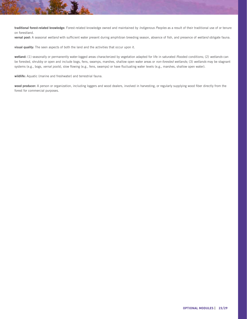traditional forest-related knowledge: Forest-related knowledge owned and maintained by *Indigenous Peoples* as a result of their traditional use of or tenure on forestland.

vernal pool: A seasonal *wetland* with sufficient water present during amphibian breeding season, absence of fish, and presence of *wetland* obligate fauna.

visual quality: The seen aspects of both the land and the activities that occur upon it.

wetland: (1) seasonally or permanently water-logged areas characterized by vegetation adapted for life in saturated /flooded conditions; (2) *wetlands* can be forested, shrubby or open and include bogs, fens, swamps, marshes, shallow open water areas or *non-forested wetlands*; (3) *wetlands* may be stagnant systems (e.g., bogs, *vernal pools*), slow flowing (e.g., fens, swamps) or have fluctuating water levels (e.g., marshes, shallow open water).

wildlife: Aquatic (marine and freshwater) and terrestrial fauna.

wood producer: A person or organization, including loggers and wood dealers, involved in harvesting, or regularly supplying wood fiber directly from the forest for commercial purposes.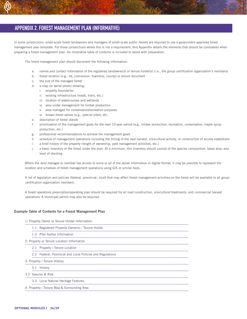# **APPENDIX 2. FOREST MANAGEMENT PLAN (INFORMATIVE)**

In some jurisdictions, small-scale forest landowners and managers of small-scale public forests are required to use a government approved forest management plan template. For those jurisdictions where this is not a requirement, this Appendix details the elements that should be considered when preparing a forest management plan. An illustrative table of contents is included to assist with preparation.

The forest management plan should document the following information:

- a. names and contact information of the registered landowner(s) or tenure holder(s) (i.e., the group certification organization's members)
- b. forest location (e.g., lot, concession, township, county) or tenure document
- c. the size of the managed forest
- d. a map (or aerial photo) showing:
	- i. property boundaries
		- ii. existing infrastructure (roads, trails, etc.)
		- iii. location of watercourses and wetlands
		- iv. area under management for timber production
		- v. area managed for *conservation*/recreation purposes
		- vi. known forest values (e.g., *special sites*), etc.
- e. description of forest *stands*
- f. prioritization of the management goals for the next 10-year period (e.g., timber production, recreation, *conservation*, maple syrup production, etc.)
- g. professional recommendations to achieve the management goals
- h. schedule of management operations including the timing of the next harvest, *silvicultural* activity, or construction of access roads/trails
- i. a brief history of the property (length of ownership, past management activities, etc.)
- j. a basic inventory of the forest under the plan. At a minimum, this inventory should consist of the species composition, basal area, and level of stocking

Where the *land manager* or *member* has access to some or all of the above information in digital format, it may be possible to represent the location and schedule of forest management operations using GIS or similar tools.

A list of legislation and policies (federal, provincial, *local*) that may affect forest management activities on the forest will be available to all *group*  certification organization members.

A forest operations prescription/operating plan should be required for all road construction, *silvicultural* treatments, and *commercial harvest operations.* A municipal permit may also be required.

#### **Example Table of Contents for a Forest Management Plan**

| 1: Property Owner or Tenure Holder Information             |  |  |  |  |  |
|------------------------------------------------------------|--|--|--|--|--|
| 1.1 Registered Property Owner(s) / Tenure Holder           |  |  |  |  |  |
| 1.2 Plan Author Information                                |  |  |  |  |  |
| 2: Property or Tenure Location Information                 |  |  |  |  |  |
| 2.1 Property / Tenure Location                             |  |  |  |  |  |
| 2.2 Federal, Provincial and Local Policies and Regulations |  |  |  |  |  |
| 3: Property / Tenure History                               |  |  |  |  |  |
| 3.1 History                                                |  |  |  |  |  |
| 3.2 Species at Risk                                        |  |  |  |  |  |
| 3.3 Local Natural Heritage Features                        |  |  |  |  |  |
| 4: Property / Tenure Map & Surrounding Area                |  |  |  |  |  |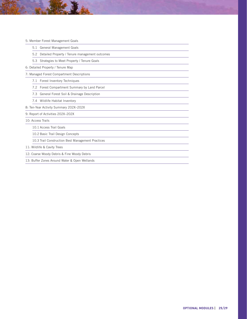|  |  |  | 5: Member Forest Management Goals |  |
|--|--|--|-----------------------------------|--|
|--|--|--|-----------------------------------|--|

5.1 General Management Goals

5.2 Detailed Property / Tenure management outcomes

5.3 Strategies to Meet Property / Tenure Goals

6: Detailed Property / Tenure Map

7: Managed Forest Compartment Descriptions

7.1 Forest Inventory Techniques

7.2 Forest Compartment Summary by Land Parcel

7.3 General Forest Soil & Drainage Description

7.4 Wildlife Habitat Inventory

8: Ten-Year Activity Summary 202X–202X

9: Report of Activities 202X–202X

10: Access Trails

10.1 Access Trail Goals

10.2 Basic Trail Design Concepts

10.3 Trail Construction Best Management Practices

11: Wildlife & Cavity Trees

12: Coarse Woody Debris & Fine Woody Debris

13: Buffer Zones Around Water & Open Wetlands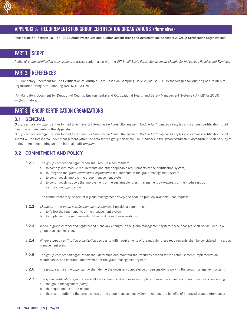# **APPENDIX 3: REQUIREMENTS FOR GROUP CERTIFICATION ORGANIZATIONS (Normative)**

(taken from SFI Section 10 – SFI 2022 Audit Procedures and Auditor Qualifications and Accreditation: Appendix 2, Group Certification Organizations)

# **PART 1: SCOPE**

Audits of group certification organizations to assess conformance with the *SFI Small Scale Forest Management Module for Indigenous Peoples and Families.*

# **PART 2: REFERENCES**

IAF Mandatory Document for The Certification of Multiple Sites Based on Sampling Issue 2, Clause 6.1: Methodologies for Auditing of a Multi-site Organization Using Site Sampling (IAF MD1: 2018)

IAF Mandatory Document for Duration of Quality, Environmental and Occupational Health and Safety Management Systems (IAF MD 5: 2019) — (Informative).

# **PART 3: GROUP CERTIFICATION ORGANIZATIONS**

# **3.1 GENERAL**

Group certification organizations formed to achieve *SFI Small Scale Forest Management Module for Indigenous Peoples and Families* certification, shall meet the requirements in this Appendix.

Group certification organizations formed to achieve *SFI Small Scale Forest Management Module for Indigenous Peoples and Families* certification, shall submit all the forest area under management within the area for the group certificate. All members in the group certification organization shall be subject to the internal monitoring and the internal audit *program*.

# **3.2 COMMITMENT AND POLICY**

- **3.2.1** The group certification organization shall require a commitment:
	- a. to comply with module requirements and other applicable requirements of the certification system;
	- b. to integrate the group certification organization requirements in the group management system;
	- c. to continuously improve the group management system;
	- d. to continuously support the improvement of the sustainable forest management by *members* of the module group certification organization.

The commitment may be part of a group management *policy* and shall be publicly available upon request.

- **3.2.2** *Members* in the group certification organization shall provide a commitment
	- a. to follow the requirements of the management system;
	- b. to implement the requirements of the module in their operations.
- **3.2.3** Where a group certification organization plans any changes in the group management system, these changes shall be included in a group management plan.
- **3.2.4** Where a group certification organization decides to fulfil requirements of the module, these requirements shall be considered in a group management plan.
- **3.2.5** The group certification organization shall determine and maintain the resources needed for the establishment, implementation, maintenance, and continual improvement of the group management system.
- **3.2.6** The group certification organization shall define the necessary competence of persons doing work in the group management system.
- **3.2.7** The group certification organization shall have communication processes in place to raise the awareness of group *members* concerning: a. the group management *policy*;
	- b. the requirements of the module;
	- c. their contribution to the effectiveness of the group management system, including the benefits of improved group performance;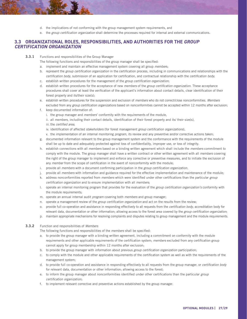- d. the implications of not conforming with the group management system requirements, and
- e. the group certification organization shall determine the processes required for internal and external communications.

## **3.3 ORGANIZATIONAL ROLES, RESPONSIBILITIES, AND AUTHORITIES FOR THE** *GROUP CERTIFICATION ORGANIZATION*

**3.3.1** Functions and responsibilities of the Group Manager

The following functions and responsibilities of the group manager shall be specified:

- a. implement and maintain an effective management system covering all group *member*s;
- b. represent the group certification organization in the certification process, including in communications and relationships with the certification body, submission of an application for certification, and contractual relationship with the certification body;
- c. establish written procedures for the management of the *group certification organization*;
- d. establish written procedures for the acceptance of new *members* of the group certification organization. These acceptance procedures shall cover at least the verification of the applicant's information about contact details, clear identification of their forest property and its/their size(s);
- e. establish written procedures for the suspension and exclusion of *members* who do not correct/close nonconformities. *Members*  excluded from any group certification organizations based on nonconformities cannot be accepted within 12 months after exclusion;
- f. keep documented information of:
	- i. the group manager and *members*' conformity with the requirements of the module,
	- ii. all *members*, including their contact details, identification of their forest property and its/ their size(s),
	- iii. the certified area,
	- iv. identification of affected *stakeholders* (for forest management *group certification organizations*),
	- v. the implementation of an internal monitoring *program*, its review and any preventive and/or corrective actions taken;
- g. documented information relevant to the group management system and the conformance with the requirements of the module shall be up to date and adequately protected against loss of confidentiality, improper use, or loss of integrity.
- h. establish connections with all *members* based on a binding written agreement which shall include the *members* commitment to comply with the module. The group manager shall have a written contract or other written agreement with all *members* covering the right of the group manager to implement and enforce any corrective or preventive measures, and to initiate the exclusion of any *member* from the scope of certification in the event of nonconformity with the module;
- i. provide all *members* with a document confirming participation in the group certification organization.
- j. provide all *members* with information and guidance required for the effective implementation and maintenance of the module;
- k. address nonconformities reported from *members* which were identified under other certifications than the particular *group*  certification organization and to ensure implementation with all *members*;
- l. operate an internal monitoring program that provides for the evaluation of the group certification organization's conformity with the module requirements;
- m. operate an annual internal audit *program* covering both *members* and group manager;
- n. operate a management review of the group certification organization and act on the results from the review;
- o. provide full co-operation and assistance in responding effectively to all requests from the *certification body*, accreditation body for relevant data, documentation or other information; allowing access to the forest area covered by the group certification organization;
- p. maintain appropriate mechanisms for resolving complaints and disputes relating to group management and the module requirements.

## **3.3.2** Function and responsibilities of *Members*

The following functions and responsibilities of the *members* shall be specified:

- a. to provide the group manager with a binding written agreement, including a commitment on conformity with the module requirements and other applicable requirements of the certification system; *members* excluded from any certification group cannot apply for group membership within 12 months after exclusion;
- b. to provide the group manager with information about previous group certification organization participation;
- c. to comply with the module and other applicable requirements of the certification system as well as with the requirements of the management system;
- d. to provide full co-operation and assistance in responding effectively to all requests from the group manager, or certification body for relevant data, documentation or other information; allowing access to the forest;
- e. to inform the group manager about nonconformities identified under other certifications than the particular *group*  certification organization;
- f. to implement relevant corrective and preventive actions established by the group manager.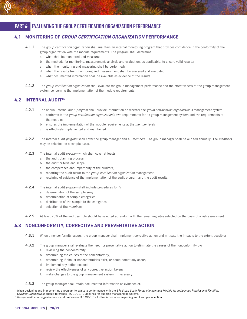# **PART 4: EVALUATING THE GROUP CERTIFICATION ORGANIZATION PERFORMANCE**

# **4.1 MONITORING OF** *GROUP CERTIFICATION ORGANIZATION* **PERFORMANCE**

- **4.1.1** The group certification organization shall maintain an internal monitoring program that provides confidence in the conformity of the group organization with the module requirements. The program shall determine:
	- a. what shall be monitored and measured;
	- b. the methods for monitoring, measurement, analysis and evaluation, as applicable, to ensure valid results;
	- c. when the monitoring and measuring shall be performed;
	- d. when the results from monitoring and measurement shall be analysed and evaluated;
	- e. what documented information shall be available as evidence of the results.
- **4.1.2** The group certification organization shall evaluate the group management performance and the effectiveness of the group management system concerning the implementation of the module requirements.

# **4.2 INTERNAL AUDIT14**

- **4.2.1** The annual internal audit *program* shall provide information on whether the group certification organization's management system:
	- a. conforms to the group certification organization's own requirements for its group management system and the requirements of the module;
	- b. ensures the implementation of the module requirements at the *member* level;
	- c. is effectively implemented and maintained.
- **4.2.2** The internal audit *program* shall cover the group manager and all *members.* The group manager shall be audited annually. The *members*  may be selected on a sample basis.
- **4.2.3** The internal audit *program* which shall cover at least:
	- a. the audit planning process;
	- b. the audit criteria and scope;
	- c. the competence and impartiality of the auditors;
	- d. reporting the audit result to the group certification organization management;
	- e. retaining of evidence of the implementation of the audit program and the audit results.
- **4.2.4** The internal audit *program* shall include procedures for<sup>15</sup>:
	- a. determination of the sample size;
	- b. determination of sample categories;
	- c. distribution of the sample to the categories;
	- d. selection of the *members.*
- **4.2.5** At least 25% of the audit sample should be selected at random with the remaining sites selected on the basis of a risk assessment.

# **4.3 NONCONFORMITY, CORRECTIVE AND PREVENTATIVE ACTION**

- **4.3.1** When a nonconformity occurs, the group manager shall implement corrective action and mitigate the impacts to the extent possible;
- **4.3.2** The group manager shall evaluate the need for preventative action to eliminate the causes of the nonconformity by:
	- a. reviewing the nonconformity;
	- b. determining the causes of the nonconformity;
	- c. determining if similar nonconformities exist, or could potentially occur;
	- d. implement any action needed;
	- e. review the effectiveness of any corrective action taken;
	- f. make changes to the group management system, if necessary.

**4.3.3** The group manager shall retain documented information as evidence of:

14 When designing and implementing a program to evaluate conformance with the *SFI Small Scale Forest Management Module for Indigenous Peoples and Families*, Certified Organizations should reference ISO 19011 Guidelines for auditing management systems.

 $^{15}$  Group certification organizations should reference IAF MD-1 for further information regarding audit sample selection.